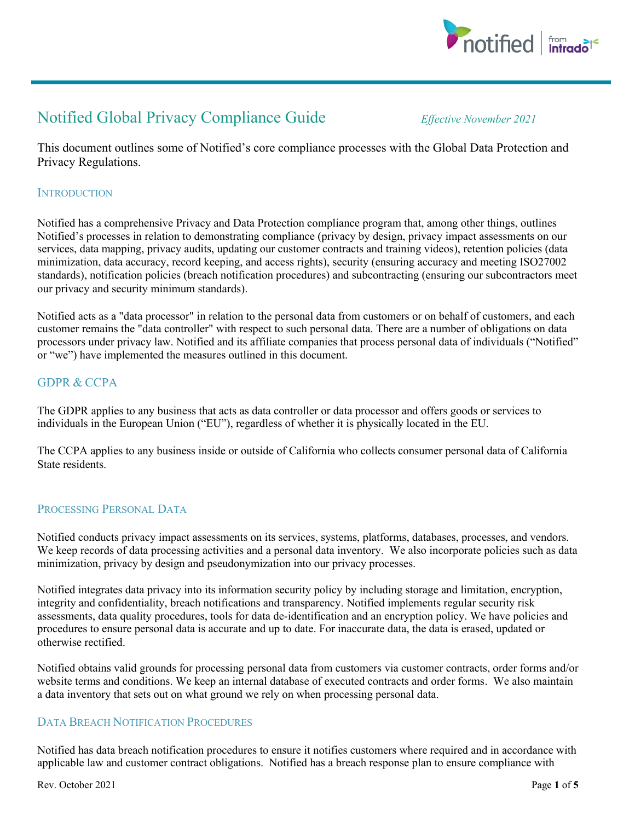

# Notified Global Privacy Compliance Guide *Effective November <sup>2021</sup>*

This document outlines some of Notified's core compliance processes with the Global Data Protection and Privacy Regulations.

### **INTRODUCTION**

Notified has a comprehensive Privacy and Data Protection compliance program that, among other things, outlines Notified's processes in relation to demonstrating compliance (privacy by design, privacy impact assessments on our services, data mapping, privacy audits, updating our customer contracts and training videos), retention policies (data minimization, data accuracy, record keeping, and access rights), security (ensuring accuracy and meeting ISO27002 standards), notification policies (breach notification procedures) and subcontracting (ensuring our subcontractors meet our privacy and security minimum standards).

Notified acts as a "data processor" in relation to the personal data from customers or on behalf of customers, and each customer remains the "data controller" with respect to such personal data. There are a number of obligations on data processors under privacy law. Notified and its affiliate companies that process personal data of individuals ("Notified" or "we") have implemented the measures outlined in this document.

## GDPR & CCPA

The GDPR applies to any business that acts as data controller or data processor and offers goods or services to individuals in the European Union ("EU"), regardless of whether it is physically located in the EU.

The CCPA applies to any business inside or outside of California who collects consumer personal data of California State residents.

## PROCESSING PERSONAL DATA

Notified conducts privacy impact assessments on its services, systems, platforms, databases, processes, and vendors. We keep records of data processing activities and a personal data inventory. We also incorporate policies such as data minimization, privacy by design and pseudonymization into our privacy processes.

Notified integrates data privacy into its information security policy by including storage and limitation, encryption, integrity and confidentiality, breach notifications and transparency. Notified implements regular security risk assessments, data quality procedures, tools for data de-identification and an encryption policy. We have policies and procedures to ensure personal data is accurate and up to date. For inaccurate data, the data is erased, updated or otherwise rectified.

Notified obtains valid grounds for processing personal data from customers via customer contracts, order forms and/or website terms and conditions. We keep an internal database of executed contracts and order forms. We also maintain a data inventory that sets out on what ground we rely on when processing personal data.

## DATA BREACH NOTIFICATION PROCEDURES

Notified has data breach notification procedures to ensure it notifies customers where required and in accordance with applicable law and customer contract obligations. Notified has a breach response plan to ensure compliance with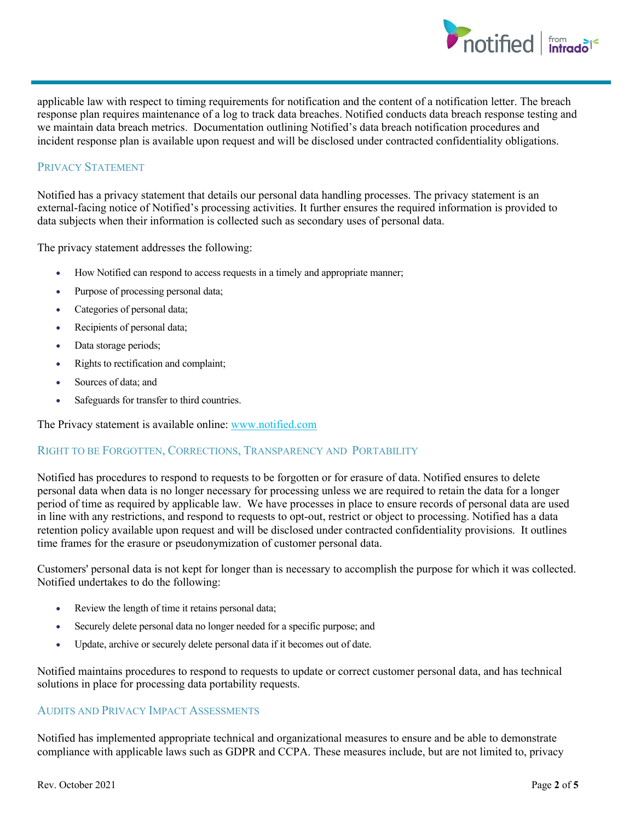

applicable law with respect to timing requirements for notification and the content of a notification letter. The breach response plan requires maintenance of a log to track data breaches. Notified conducts data breach response testing and we maintain data breach metrics. Documentation outlining Notified's data breach notification procedures and incident response plan is available upon request and will be disclosed under contracted confidentiality obligations.

### PRIVACY STATEMENT

Notified has a privacy statement that details our personal data handling processes. The privacy statement is an external-facing notice of Notified's processing activities. It further ensures the required information is provided to data subjects when their information is collected such as secondary uses of personal data.

The privacy statement addresses the following:

- How Notified can respond to access requests in a timely and appropriate manner;
- Purpose of processing personal data;
- Categories of personal data;
- Recipients of personal data;
- Data storage periods;
- Rights to rectification and complaint;
- Sources of data; and
- Safeguards for transfer to third countries.

The Privacy statement is available online: www.notified.com

#### RIGHT TO BE FORGOTTEN, CORRECTIONS, TRANSPARENCY AND PORTABILITY

Notified has procedures to respond to requests to be forgotten or for erasure of data. Notified ensures to delete personal data when data is no longer necessary for processing unless we are required to retain the data for a longer period of time as required by applicable law. We have processes in place to ensure records of personal data are used in line with any restrictions, and respond to requests to opt-out, restrict or object to processing. Notified has a data retention policy available upon request and will be disclosed under contracted confidentiality provisions. It outlines time frames for the erasure or pseudonymization of customer personal data.

Customers' personal data is not kept for longer than is necessary to accomplish the purpose for which it was collected. Notified undertakes to do the following:

- Review the length of time it retains personal data;
- Securely delete personal data no longer needed for a specific purpose; and
- Update, archive or securely delete personal data if it becomes out of date.

Notified maintains procedures to respond to requests to update or correct customer personal data, and has technical solutions in place for processing data portability requests.

## AUDITS AND PRIVACY IMPACT ASSESSMENTS

Notified has implemented appropriate technical and organizational measures to ensure and be able to demonstrate compliance with applicable laws such as GDPR and CCPA. These measures include, but are not limited to, privacy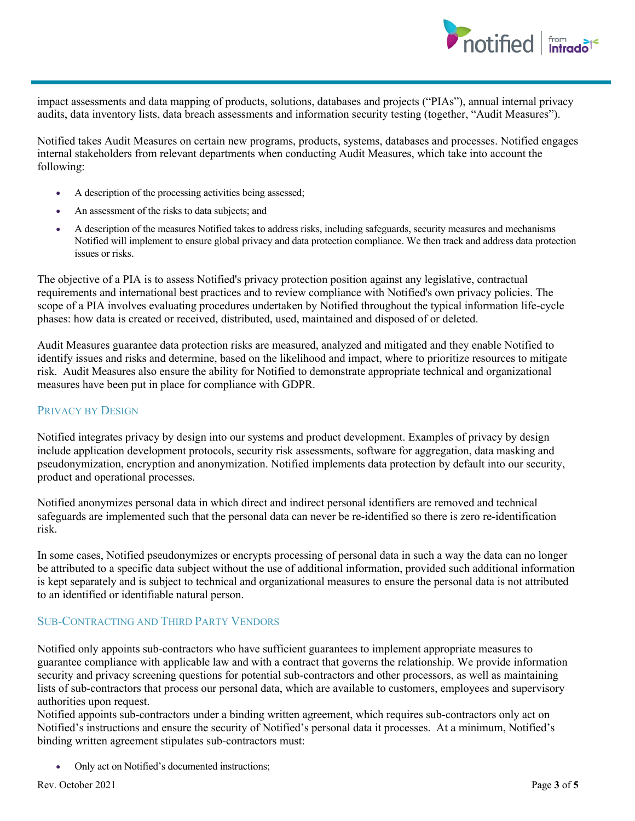

impact assessments and data mapping of products, solutions, databases and projects ("PIAs"), annual internal privacy audits, data inventory lists, data breach assessments and information security testing (together, "Audit Measures").

Notified takes Audit Measures on certain new programs, products, systems, databases and processes. Notified engages internal stakeholders from relevant departments when conducting Audit Measures, which take into account the following:

- A description of the processing activities being assessed;
- An assessment of the risks to data subjects; and
- A description of the measures Notified takes to address risks, including safeguards, security measures and mechanisms Notified will implement to ensure global privacy and data protection compliance. We then track and address data protection issues or risks.

The objective of a PIA is to assess Notified's privacy protection position against any legislative, contractual requirements and international best practices and to review compliance with Notified's own privacy policies. The scope of a PIA involves evaluating procedures undertaken by Notified throughout the typical information life-cycle phases: how data is created or received, distributed, used, maintained and disposed of or deleted.

Audit Measures guarantee data protection risks are measured, analyzed and mitigated and they enable Notified to identify issues and risks and determine, based on the likelihood and impact, where to prioritize resources to mitigate risk. Audit Measures also ensure the ability for Notified to demonstrate appropriate technical and organizational measures have been put in place for compliance with GDPR.

#### PRIVACY BY DESIGN

Notified integrates privacy by design into our systems and product development. Examples of privacy by design include application development protocols, security risk assessments, software for aggregation, data masking and pseudonymization, encryption and anonymization. Notified implements data protection by default into our security, product and operational processes.

Notified anonymizes personal data in which direct and indirect personal identifiers are removed and technical safeguards are implemented such that the personal data can never be re-identified so there is zero re-identification risk.

In some cases, Notified pseudonymizes or encrypts processing of personal data in such a way the data can no longer be attributed to a specific data subject without the use of additional information, provided such additional information is kept separately and is subject to technical and organizational measures to ensure the personal data is not attributed to an identified or identifiable natural person.

#### SUB-CONTRACTING AND THIRD PARTY VENDORS

Notified only appoints sub-contractors who have sufficient guarantees to implement appropriate measures to guarantee compliance with applicable law and with a contract that governs the relationship. We provide information security and privacy screening questions for potential sub-contractors and other processors, as well as maintaining lists of sub-contractors that process our personal data, which are available to customers, employees and supervisory authorities upon request.

Notified appoints sub-contractors under a binding written agreement, which requires sub-contractors only act on Notified's instructions and ensure the security of Notified's personal data it processes. At a minimum, Notified's binding written agreement stipulates sub-contractors must:

• Only act on Notified's documented instructions;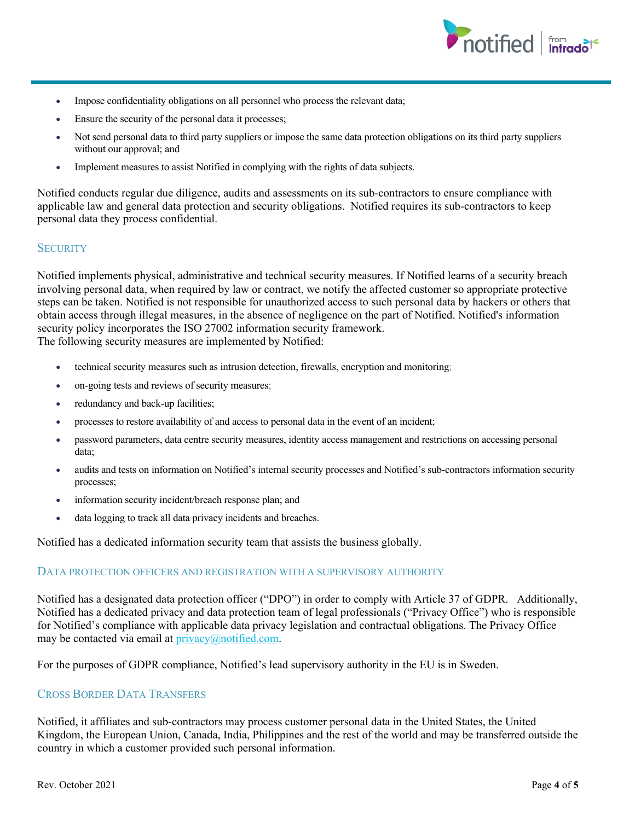

- Impose confidentiality obligations on all personnel who process the relevant data;
- Ensure the security of the personal data it processes;
- Not send personal data to third party suppliers or impose the same data protection obligations on its third party suppliers without our approval; and
- Implement measures to assist Notified in complying with the rights of data subjects.

Notified conducts regular due diligence, audits and assessments on its sub-contractors to ensure compliance with applicable law and general data protection and security obligations. Notified requires its sub-contractors to keep personal data they process confidential.

#### **SECURITY**

Notified implements physical, administrative and technical security measures. If Notified learns of a security breach involving personal data, when required by law or contract, we notify the affected customer so appropriate protective steps can be taken. Notified is not responsible for unauthorized access to such personal data by hackers or others that obtain access through illegal measures, in the absence of negligence on the part of Notified. Notified's information security policy incorporates the ISO 27002 information security framework. The following security measures are implemented by Notified:

- technical security measures such as intrusion detection, firewalls, encryption and monitoring;
- on-going tests and reviews of security measures;
- redundancy and back-up facilities;
- processes to restore availability of and access to personal data in the event of an incident;
- password parameters, data centre security measures, identity access management and restrictions on accessing personal data;
- audits and tests on information on Notified's internal security processes and Notified's sub-contractors information security processes;
- information security incident/breach response plan; and
- data logging to track all data privacy incidents and breaches.

Notified has a dedicated information security team that assists the business globally.

#### DATA PROTECTION OFFICERS AND REGISTRATION WITH A SUPERVISORY AUTHORITY

Notified has a designated data protection officer ("DPO") in order to comply with Article 37 of GDPR. Additionally, Notified has a dedicated privacy and data protection team of legal professionals ("Privacy Office") who is responsible for Notified's compliance with applicable data privacy legislation and contractual obligations. The Privacy Office may be contacted via email at privacy@notified.com.

For the purposes of GDPR compliance, Notified's lead supervisory authority in the EU is in Sweden.

#### CROSS BORDER DATA TRANSFERS

Notified, it affiliates and sub-contractors may process customer personal data in the United States, the United Kingdom, the European Union, Canada, India, Philippines and the rest of the world and may be transferred outside the country in which a customer provided such personal information.